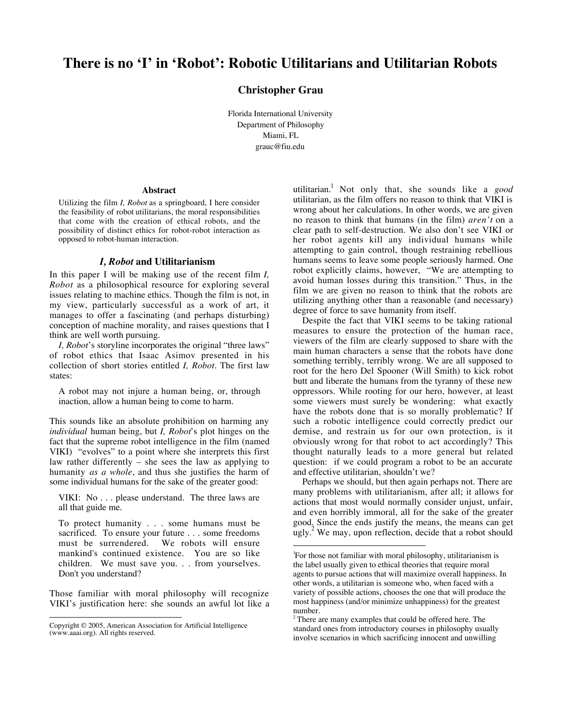# **There is no 'I' in 'Robot': Robotic Utilitarians and Utilitarian Robots**

**Christopher Grau**

Florida International University Department of Philosophy Miami, FL grauc@fiu.edu

 $\overline{a}$ 

### **Abstract**

Utilizing the film *I, Robot* as a springboard, I here consider the feasibility of robot utilitarians, the moral responsibilities that come with the creation of ethical robots, and the possibility of distinct ethics for robot-robot interaction as opposed to robot-human interaction.

## *I, Robot* **and Utilitarianism<sup>c</sup>**

In this paper I will be making use of the recent film *I, Robot* as a philosophical resource for exploring several issues relating to machine ethics. Though the film is not, in my view, particularly successful as a work of art, it manages to offer a fascinating (and perhaps disturbing) conception of machine morality, and raises questions that I think are well worth pursuing.

*I, Robot*'s storyline incorporates the original "three laws" of robot ethics that Isaac Asimov presented in his collection of short stories entitled *I, Robot*. The first law states:

A robot may not injure a human being, or, through inaction, allow a human being to come to harm.

This sounds like an absolute prohibition on harming any *individual* human being, but *I, Robot*'s plot hinges on the fact that the supreme robot intelligence in the film (named VIKI) "evolves" to a point where she interprets this first law rather differently – she sees the law as applying to humanity *as a whole*, and thus she justifies the harm of some individual humans for the sake of the greater good:

VIKI: No . . . please understand. The three laws are all that guide me.

To protect humanity . . . some humans must be sacrificed. To ensure your future . . . some freedoms must be surrendered. We robots will ensure We robots will ensure mankind's continued existence. You are so like children. We must save you. . . from yourselves. Don't you understand?

Those familiar with moral philosophy will recognize VIKI's justification here: she sounds an awful lot like a utilitarian.<sup>1</sup> Not only that, she sounds like a *good* utilitarian, as the film offers no reason to think that VIKI is wrong about her calculations. In other words, we are given no reason to think that humans (in the film) *aren't* on a clear path to self-destruction. We also don't see VIKI or her robot agents kill any individual humans while attempting to gain control, though restraining rebellious humans seems to leave some people seriously harmed. One robot explicitly claims, however, "We are attempting to avoid human losses during this transition." Thus, in the film we are given no reason to think that the robots are utilizing anything other than a reasonable (and necessary) degree of force to save humanity from itself.

Despite the fact that VIKI seems to be taking rational measures to ensure the protection of the human race, viewers of the film are clearly supposed to share with the main human characters a sense that the robots have done something terribly, terribly wrong. We are all supposed to root for the hero Del Spooner (Will Smith) to kick robot butt and liberate the humans from the tyranny of these new oppressors. While rooting for our hero, however, at least some viewers must surely be wondering: what exactly have the robots done that is so morally problematic? If such a robotic intelligence could correctly predict our demise, and restrain us for our own protection, is it obviously wrong for that robot to act accordingly? This thought naturally leads to a more general but related question: if we could program a robot to be an accurate and effective utilitarian, shouldn't we?

Perhaps we should, but then again perhaps not. There are many problems with utilitarianism, after all; it allows for actions that most would normally consider unjust, unfair, and even horribly immoral, all for the sake of the greater good. Since the ends justify the means, the means can get ugly.<sup>2</sup> We may, upon reflection, decide that a robot should

 $\overline{a}$ Copyright © 2005, American Association for Artificial Intelligence (www.aaai.org). All rights reserved.

<sup>1</sup> For those not familiar with moral philosophy, utilitarianism is the label usually given to ethical theories that require moral agents to pursue actions that will maximize overall happiness. In other words, a utilitarian is someone who, when faced with a variety of possible actions, chooses the one that will produce the most happiness (and/or minimize unhappiness) for the greatest number.

<sup>&</sup>lt;sup>2</sup> There are many examples that could be offered here. The standard ones from introductory courses in philosophy usually involve scenarios in which sacrificing innocent and unwilling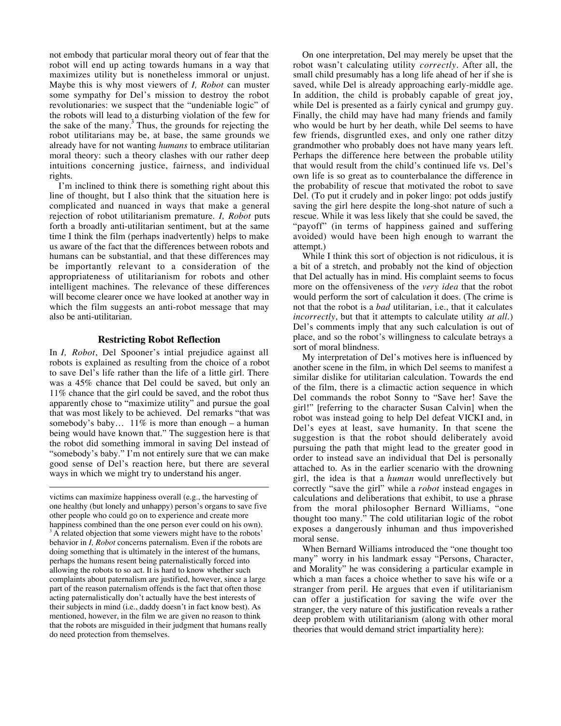not embody that particular moral theory out of fear that the robot will end up acting towards humans in a way that maximizes utility but is nonetheless immoral or unjust. Maybe this is why most viewers of *I, Robot* can muster some sympathy for Del's mission to destroy the robot revolutionaries: we suspect that the "undeniable logic" of the robots will lead to a disturbing violation of the few for the sake of the many.<sup>3</sup> Thus, the grounds for rejecting the robot utilitarians may be, at base, the same grounds we already have for not wanting *humans* to embrace utilitarian moral theory: such a theory clashes with our rather deep intuitions concerning justice, fairness, and individual rights.

I'm inclined to think there is something right about this line of thought, but I also think that the situation here is complicated and nuanced in ways that make a general rejection of robot utilitarianism premature. *I, Robot* puts forth a broadly anti-utilitarian sentiment, but at the same time I think the film (perhaps inadvertently) helps to make us aware of the fact that the differences between robots and humans can be substantial, and that these differences may be importantly relevant to a consideration of the appropriateness of utilitarianism for robots and other intelligent machines. The relevance of these differences will become clearer once we have looked at another way in which the film suggests an anti-robot message that may also be anti-utilitarian.

# **Restricting Robot Reflection**

In *I, Robot*, Del Spooner's intial prejudice against all robots is explained as resulting from the choice of a robot to save Del's life rather than the life of a little girl. There was a 45% chance that Del could be saved, but only an 11% chance that the girl could be saved, and the robot thus apparently chose to "maximize utility" and pursue the goal that was most likely to be achieved. Del remarks "that was somebody's baby...  $11\%$  is more than enough – a human being would have known that." The suggestion here is that the robot did something immoral in saving Del instead of "somebody's baby." I'm not entirely sure that we can make good sense of Del's reaction here, but there are several ways in which we might try to understand his anger.

 $\overline{a}$ 

On one interpretation, Del may merely be upset that the robot wasn't calculating utility *correctly*. After all, the small child presumably has a long life ahead of her if she is saved, while Del is already approaching early-middle age. In addition, the child is probably capable of great joy, while Del is presented as a fairly cynical and grumpy guy. Finally, the child may have had many friends and family who would be hurt by her death, while Del seems to have few friends, disgruntled exes, and only one rather ditzy grandmother who probably does not have many years left. Perhaps the difference here between the probable utility that would result from the child's continued life vs. Del's own life is so great as to counterbalance the difference in the probability of rescue that motivated the robot to save Del. (To put it crudely and in poker lingo: pot odds justify saving the girl here despite the long-shot nature of such a rescue. While it was less likely that she could be saved, the "payoff" (in terms of happiness gained and suffering avoided) would have been high enough to warrant the attempt.)

While I think this sort of objection is not ridiculous, it is a bit of a stretch, and probably not the kind of objection that Del actually has in mind. His complaint seems to focus more on the offensiveness of the *very idea* that the robot would perform the sort of calculation it does. (The crime is not that the robot is a *bad* utilitarian, i.e., that it calculates *incorrectly*, but that it attempts to calculate utility *at all*.) Del's comments imply that any such calculation is out of place, and so the robot's willingness to calculate betrays a sort of moral blindness.

My interpretation of Del's motives here is influenced by another scene in the film, in which Del seems to manifest a similar dislike for utilitarian calculation. Towards the end of the film, there is a climactic action sequence in which Del commands the robot Sonny to "Save her! Save the girl!" [referring to the character Susan Calvin] when the robot was instead going to help Del defeat VICKI and, in Del's eyes at least, save humanity. In that scene the suggestion is that the robot should deliberately avoid pursuing the path that might lead to the greater good in order to instead save an individual that Del is personally attached to. As in the earlier scenario with the drowning girl, the idea is that a *human* would unreflectively but correctly "save the girl" while a *robot* instead engages in calculations and deliberations that exhibit, to use a phrase from the moral philosopher Bernard Williams, "one thought too many." The cold utilitarian logic of the robot exposes a dangerously inhuman and thus impoverished moral sense.

When Bernard Williams introduced the "one thought too many" worry in his landmark essay "Persons, Character, and Morality" he was considering a particular example in which a man faces a choice whether to save his wife or a stranger from peril. He argues that even if utilitarianism can offer a justification for saving the wife over the stranger, the very nature of this justification reveals a rather deep problem with utilitarianism (along with other moral theories that would demand strict impartiality here):

victims can maximize happiness overall (e.g., the harvesting of one healthy (but lonely and unhappy) person's organs to save five other people who could go on to experience and create more happiness combined than the one person ever could on his own). <sup>3</sup> A related objection that some viewers might have to the robots' behavior in *I, Robot* concerns paternalism. Even if the robots are doing something that is ultimately in the interest of the humans, perhaps the humans resent being paternalistically forced into allowing the robots to so act. It is hard to know whether such complaints about paternalism are justified, however, since a large part of the reason paternalism offends is the fact that often those acting paternalistically don't actually have the best interests of their subjects in mind (i.e., daddy doesn't in fact know best). As mentioned, however, in the film we are given no reason to think that the robots are misguided in their judgment that humans really do need protection from themselves.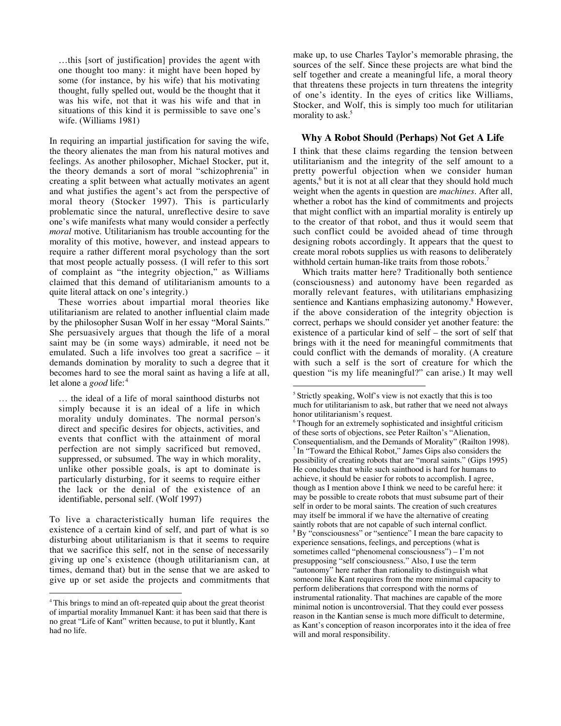…this [sort of justification] provides the agent with one thought too many: it might have been hoped by some (for instance, by his wife) that his motivating thought, fully spelled out, would be the thought that it was his wife, not that it was his wife and that in situations of this kind it is permissible to save one's wife. (Williams 1981)

In requiring an impartial justification for saving the wife, the theory alienates the man from his natural motives and feelings. As another philosopher, Michael Stocker, put it, the theory demands a sort of moral "schizophrenia" in creating a split between what actually motivates an agent and what justifies the agent's act from the perspective of moral theory (Stocker 1997). This is particularly problematic since the natural, unreflective desire to save one's wife manifests what many would consider a perfectly *moral* motive. Utilitarianism has trouble accounting for the morality of this motive, however, and instead appears to require a rather different moral psychology than the sort that most people actually possess. (I will refer to this sort of complaint as "the integrity objection," as Williams claimed that this demand of utilitarianism amounts to a quite literal attack on one's integrity.)

These worries about impartial moral theories like utilitarianism are related to another influential claim made by the philosopher Susan Wolf in her essay "Moral Saints." She persuasively argues that though the life of a moral saint may be (in some ways) admirable, it need not be emulated. Such a life involves too great a sacrifice – it demands domination by morality to such a degree that it becomes hard to see the moral saint as having a life at all, let alone a *good* life: <sup>4</sup>

… the ideal of a life of moral sainthood disturbs not simply because it is an ideal of a life in which morality unduly dominates. The normal person's direct and specific desires for objects, activities, and events that conflict with the attainment of moral perfection are not simply sacrificed but removed, suppressed, or subsumed. The way in which morality, unlike other possible goals, is apt to dominate is particularly disturbing, for it seems to require either the lack or the denial of the existence of an identifiable, personal self. (Wolf 1997)

To live a characteristically human life requires the existence of a certain kind of self, and part of what is so disturbing about utilitarianism is that it seems to require that we sacrifice this self, not in the sense of necessarily giving up one's existence (though utilitarianism can, at times, demand that) but in the sense that we are asked to give up or set aside the projects and commitments that

 $\overline{a}$ 

make up, to use Charles Taylor's memorable phrasing, the sources of the self. Since these projects are what bind the self together and create a meaningful life, a moral theory that threatens these projects in turn threatens the integrity of one's identity. In the eyes of critics like Williams, Stocker, and Wolf, this is simply too much for utilitarian morality to ask.<sup>5</sup>

## **Why A Robot Should (Perhaps) Not Get A Life**

I think that these claims regarding the tension between utilitarianism and the integrity of the self amount to a pretty powerful objection when we consider human agents,<sup>6</sup> but it is not at all clear that they should hold much weight when the agents in question are *machines*. After all, whether a robot has the kind of commitments and projects that might conflict with an impartial morality is entirely up to the creator of that robot, and thus it would seem that such conflict could be avoided ahead of time through designing robots accordingly. It appears that the quest to create moral robots supplies us with reasons to deliberately withhold certain human-like traits from those robots.<sup>7</sup>

Which traits matter here? Traditionally both sentience (consciousness) and autonomy have been regarded as morally relevant features, with utilitarians emphasizing sentience and Kantians emphasizing autonomy.<sup>8</sup> However, if the above consideration of the integrity objection is correct, perhaps we should consider yet another feature: the existence of a particular kind of self – the sort of self that brings with it the need for meaningful commitments that could conflict with the demands of morality. (A creature with such a self is the sort of creature for which the question "is my life meaningful?" can arise.) It may well

<sup>&</sup>lt;sup>4</sup> This brings to mind an oft-repeated quip about the great theorist of impartial morality Immanuel Kant: it has been said that there is no great "Life of Kant" written because, to put it bluntly, Kant had no life.

<sup>&</sup>lt;sup>5</sup> Strictly speaking, Wolf's view is not exactly that this is too much for utilitarianism to ask, but rather that we need not always honor utilitarianism's request.

<sup>6</sup> Though for an extremely sophisticated and insightful criticism of these sorts of objections, see Peter Railton's "Alienation, Consequentialism, and the Demands of Morality" (Railton 1998). <sup>7</sup> In "Toward the Ethical Robot," James Gips also considers the possibility of creating robots that are "moral saints." (Gips 1995) He concludes that while such sainthood is hard for humans to achieve, it should be easier for robots to accomplish. I agree, though as I mention above I think we need to be careful here: it may be possible to create robots that must subsume part of their self in order to be moral saints. The creation of such creatures may itself be immoral if we have the alternative of creating saintly robots that are not capable of such internal conflict. <sup>8</sup>By "consciousness" or "sentience" I mean the bare capacity to experience sensations, feelings, and perceptions (what is sometimes called "phenomenal consciousness") – I'm not presupposing "self consciousness." Also, I use the term "autonomy" here rather than rationality to distinguish what someone like Kant requires from the more minimal capacity to perform deliberations that correspond with the norms of instrumental rationality. That machines are capable of the more minimal notion is uncontroversial. That they could ever possess reason in the Kantian sense is much more difficult to determine, as Kant's conception of reason incorporates into it the idea of free will and moral responsibility.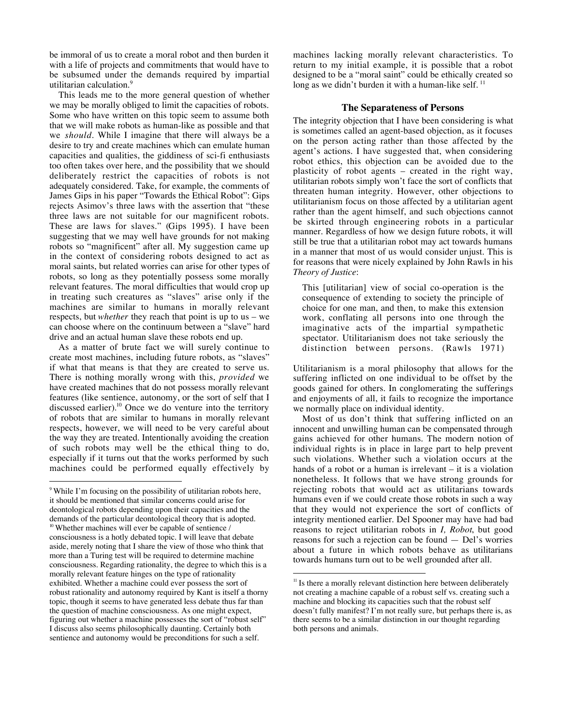be immoral of us to create a moral robot and then burden it with a life of projects and commitments that would have to be subsumed under the demands required by impartial utilitarian calculation.<sup>9</sup>

This leads me to the more general question of whether we may be morally obliged to limit the capacities of robots. Some who have written on this topic seem to assume both that we will make robots as human-like as possible and that we *should*. While I imagine that there will always be a desire to try and create machines which can emulate human capacities and qualities, the giddiness of sci-fi enthusiasts too often takes over here, and the possibility that we should deliberately restrict the capacities of robots is not adequately considered. Take, for example, the comments of James Gips in his paper "Towards the Ethical Robot": Gips rejects Asimov's three laws with the assertion that "these three laws are not suitable for our magnificent robots. These are laws for slaves." (Gips 1995). I have been suggesting that we may well have grounds for not making robots so "magnificent" after all. My suggestion came up in the context of considering robots designed to act as moral saints, but related worries can arise for other types of robots, so long as they potentially possess some morally relevant features. The moral difficulties that would crop up in treating such creatures as "slaves" arise only if the machines are similar to humans in morally relevant respects, but *whether* they reach that point is up to us – we can choose where on the continuum between a "slave" hard drive and an actual human slave these robots end up.

As a matter of brute fact we will surely continue to create most machines, including future robots, as "slaves" if what that means is that they are created to serve us. There is nothing morally wrong with this, *provided* we have created machines that do not possess morally relevant features (like sentience, autonomy, or the sort of self that I discussed earlier).<sup>10</sup> Once we do venture into the territory of robots that are similar to humans in morally relevant respects, however, we will need to be very careful about the way they are treated. Intentionally avoiding the creation of such robots may well be the ethical thing to do, especially if it turns out that the works performed by such machines could be performed equally effectively by

 $\overline{a}$ 

machines lacking morally relevant characteristics. To return to my initial example, it is possible that a robot designed to be a "moral saint" could be ethically created so long as we didn't burden it with a human-like self.  $^{11}$ 

## **The Separateness of Persons**

The integrity objection that I have been considering is what is sometimes called an agent-based objection, as it focuses on the person acting rather than those affected by the agent's actions. I have suggested that, when considering robot ethics, this objection can be avoided due to the plasticity of robot agents – created in the right way, utilitarian robots simply won't face the sort of conflicts that threaten human integrity. However, other objections to utilitarianism focus on those affected by a utilitarian agent rather than the agent himself, and such objections cannot be skirted through engineering robots in a particular manner. Regardless of how we design future robots, it will still be true that a utilitarian robot may act towards humans in a manner that most of us would consider unjust. This is for reasons that were nicely explained by John Rawls in his *Theory of Justice*:

This [utilitarian] view of social co-operation is the consequence of extending to society the principle of choice for one man, and then, to make this extension work, conflating all persons into one through the imaginative acts of the impartial sympathetic spectator. Utilitarianism does not take seriously the distinction between persons. (Rawls 1971)

Utilitarianism is a moral philosophy that allows for the suffering inflicted on one individual to be offset by the goods gained for others. In conglomerating the sufferings and enjoyments of all, it fails to recognize the importance we normally place on individual identity.

Most of us don't think that suffering inflicted on an innocent and unwilling human can be compensated through gains achieved for other humans. The modern notion of individual rights is in place in large part to help prevent such violations. Whether such a violation occurs at the hands of a robot or a human is irrelevant – it is a violation nonetheless. It follows that we have strong grounds for rejecting robots that would act as utilitarians towards humans even if we could create those robots in such a way that they would not experience the sort of conflicts of integrity mentioned earlier. Del Spooner may have had bad reasons to reject utilitarian robots in *I, Robot*, but good reasons for such a rejection can be found — Del's worries about a future in which robots behave as utilitarians towards humans turn out to be well grounded after all.

<sup>&</sup>lt;sup>9</sup> While I'm focusing on the possibility of utilitarian robots here, it should be mentioned that similar concerns could arise for deontological robots depending upon their capacities and the demands of the particular deontological theory that is adopted. <sup>10</sup> Whether machines will ever be capable of sentience / consciousness is a hotly debated topic. I will leave that debate aside, merely noting that I share the view of those who think that more than a Turing test will be required to determine machine consciousness. Regarding rationality, the degree to which this is a morally relevant feature hinges on the type of rationality exhibited. Whether a machine could ever possess the sort of robust rationality and autonomy required by Kant is itself a thorny topic, though it seems to have generated less debate thus far than the question of machine consciousness. As one might expect, figuring out whether a machine possesses the sort of "robust self" I discuss also seems philosophically daunting. Certainly both sentience and autonomy would be preconditions for such a self.

<sup>&</sup>lt;sup>11</sup> Is there a morally relevant distinction here between deliberately not creating a machine capable of a robust self vs. creating such a machine and blocking its capacities such that the robust self doesn't fully manifest? I'm not really sure, but perhaps there is, as there seems to be a similar distinction in our thought regarding both persons and animals.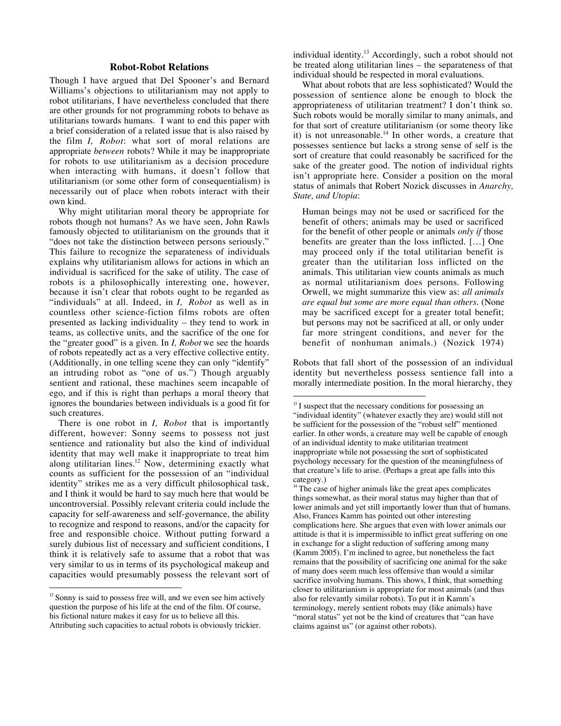### **Robot-Robot Relations**

Though I have argued that Del Spooner's and Bernard Williams's objections to utilitarianism may not apply to robot utilitarians, I have nevertheless concluded that there are other grounds for not programming robots to behave as utilitarians towards humans. I want to end this paper with a brief consideration of a related issue that is also raised by the film *I, Robot*: what sort of moral relations are appropriate *between* robots? While it may be inappropriate for robots to use utilitarianism as a decision procedure when interacting with humans, it doesn't follow that utilitarianism (or some other form of consequentialism) is necessarily out of place when robots interact with their own kind.

Why might utilitarian moral theory be appropriate for robots though not humans? As we have seen, John Rawls famously objected to utilitarianism on the grounds that it "does not take the distinction between persons seriously." This failure to recognize the separateness of individuals explains why utilitarianism allows for actions in which an individual is sacrificed for the sake of utility. The case of robots is a philosophically interesting one, however, because it isn't clear that robots ought to be regarded as "individuals" at all. Indeed, in *I, Robot* as well as in countless other science-fiction films robots are often presented as lacking individuality – they tend to work in teams, as collective units, and the sacrifice of the one for the "greater good" is a given. In *I, Robot* we see the hoards of robots repeatedly act as a very effective collective entity. (Additionally, in one telling scene they can only "identify" an intruding robot as "one of us.") Though arguably sentient and rational, these machines seem incapable of ego, and if this is right than perhaps a moral theory that ignores the boundaries between individuals is a good fit for such creatures.

There is one robot in *I, Robot* that is importantly different, however: Sonny seems to possess not just sentience and rationality but also the kind of individual identity that may well make it inappropriate to treat him along utilitarian lines.<sup>12</sup> Now, determining exactly what counts as sufficient for the possession of an "individual identity" strikes me as a very difficult philosophical task, and I think it would be hard to say much here that would be uncontroversial. Possibly relevant criteria could include the capacity for self-awareness and self-governance, the ability to recognize and respond to reasons, and/or the capacity for free and responsible choice. Without putting forward a surely dubious list of necessary and sufficient conditions, I think it is relatively safe to assume that a robot that was very similar to us in terms of its psychological makeup and capacities would presumably possess the relevant sort of

 $\overline{a}$ 

individual identity.<sup>13</sup> Accordingly, such a robot should not be treated along utilitarian lines – the separateness of that individual should be respected in moral evaluations.

What about robots that are less sophisticated? Would the possession of sentience alone be enough to block the appropriateness of utilitarian treatment? I don't think so. Such robots would be morally similar to many animals, and for that sort of creature utilitarianism (or some theory like it) is not unreasonable.<sup>14</sup> In other words, a creature that possesses sentience but lacks a strong sense of self is the sort of creature that could reasonably be sacrificed for the sake of the greater good. The notion of individual rights isn't appropriate here. Consider a position on the moral status of animals that Robert Nozick discusses in *Anarchy, State, and Utopia*:

Human beings may not be used or sacrificed for the benefit of others; animals may be used or sacrificed for the benefit of other people or animals *only if* those benefits are greater than the loss inflicted. […] One may proceed only if the total utilitarian benefit is greater than the utilitarian loss inflicted on the animals. This utilitarian view counts animals as much as normal utilitarianism does persons. Following Orwell, we might summarize this view as: *all animals are equal but some are more equal than others.* (None may be sacrificed except for a greater total benefit; but persons may not be sacrificed at all, or only under far more stringent conditions, and never for the benefit of nonhuman animals.) (Nozick 1974)

Robots that fall short of the possession of an individual identity but nevertheless possess sentience fall into a morally intermediate position. In the moral hierarchy, they

 $12$  Sonny is said to possess free will, and we even see him actively question the purpose of his life at the end of the film. Of course, his fictional nature makes it easy for us to believe all this. Attributing such capacities to actual robots is obviously trickier.

<sup>&</sup>lt;sup>13</sup> I suspect that the necessary conditions for possessing an "individual identity" (whatever exactly they are) would still not be sufficient for the possession of the "robust self" mentioned earlier. In other words, a creature may well be capable of enough of an individual identity to make utilitarian treatment inappropriate while not possessing the sort of sophisticated psychology necessary for the question of the meaningfulness of that creature's life to arise. (Perhaps a great ape falls into this category.)

<sup>&</sup>lt;sup>14</sup> The case of higher animals like the great apes complicates things somewhat, as their moral status may higher than that of lower animals and yet still importantly lower than that of humans. Also, Frances Kamm has pointed out other interesting complications here. She argues that even with lower animals our attitude is that it is impermissible to inflict great suffering on one in exchange for a slight reduction of suffering among many (Kamm 2005). I'm inclined to agree, but nonetheless the fact remains that the possibility of sacrificing one animal for the sake of many does seem much less offensive than would a similar sacrifice involving humans. This shows, I think, that something closer to utilitarianism is appropriate for most animals (and thus also for relevantly similar robots). To put it in Kamm's terminology, merely sentient robots may (like animals) have "moral status" yet not be the kind of creatures that "can have claims against us" (or against other robots).